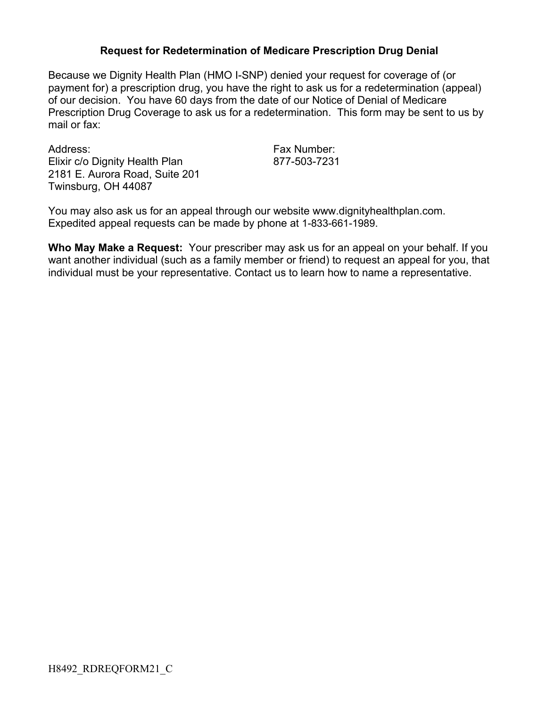## **Request for Redetermination of Medicare Prescription Drug Denial**

Because we Dignity Health Plan (HMO I-SNP) denied your request for coverage of (or payment for) a prescription drug, you have the right to ask us for a redetermination (appeal) of our decision. You have 60 days from the date of our Notice of Denial of Medicare Prescription Drug Coverage to ask us for a redetermination. This form may be sent to us by mail or fax:

Address: Fax Number: Elixir c/o Dignity Health Plan 877-503-7231 2181 E. Aurora Road, Suite 201 Twinsburg, OH 44087

You may also ask us for an appeal through our website www.dignityhealthplan.com. Expedited appeal requests can be made by phone at 1-833-661-1989.

**Who May Make a Request:** Your prescriber may ask us for an appeal on your behalf. If you want another individual (such as a family member or friend) to request an appeal for you, that individual must be your representative. Contact us to learn how to name a representative.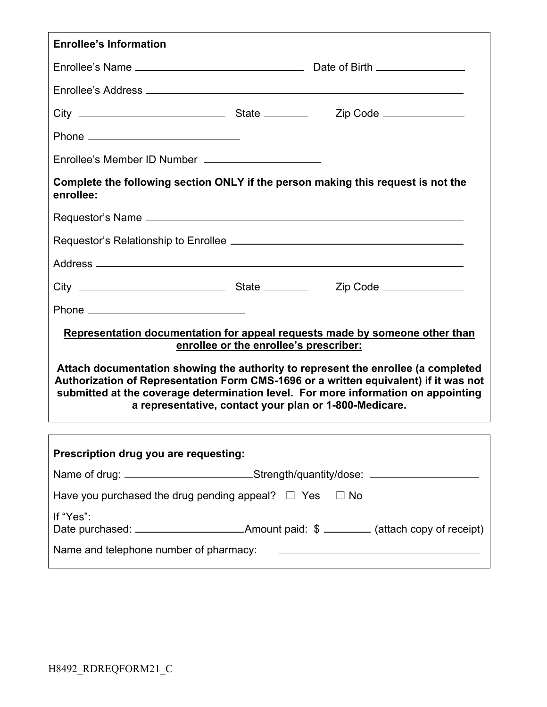| <b>Enrollee's Information</b>                                                                                                                                                                                                                                                                                            |  |  |  |  |
|--------------------------------------------------------------------------------------------------------------------------------------------------------------------------------------------------------------------------------------------------------------------------------------------------------------------------|--|--|--|--|
|                                                                                                                                                                                                                                                                                                                          |  |  |  |  |
|                                                                                                                                                                                                                                                                                                                          |  |  |  |  |
|                                                                                                                                                                                                                                                                                                                          |  |  |  |  |
|                                                                                                                                                                                                                                                                                                                          |  |  |  |  |
|                                                                                                                                                                                                                                                                                                                          |  |  |  |  |
| Enrollee's Member ID Number _______________________                                                                                                                                                                                                                                                                      |  |  |  |  |
| Complete the following section ONLY if the person making this request is not the<br>enrollee:                                                                                                                                                                                                                            |  |  |  |  |
|                                                                                                                                                                                                                                                                                                                          |  |  |  |  |
|                                                                                                                                                                                                                                                                                                                          |  |  |  |  |
|                                                                                                                                                                                                                                                                                                                          |  |  |  |  |
|                                                                                                                                                                                                                                                                                                                          |  |  |  |  |
|                                                                                                                                                                                                                                                                                                                          |  |  |  |  |
| Representation documentation for appeal requests made by someone other than<br>enrollee or the enrollee's prescriber:                                                                                                                                                                                                    |  |  |  |  |
| Attach documentation showing the authority to represent the enrollee (a completed<br>Authorization of Representation Form CMS-1696 or a written equivalent) if it was not<br>submitted at the coverage determination level. For more information on appointing<br>a representative, contact your plan or 1-800-Medicare. |  |  |  |  |
|                                                                                                                                                                                                                                                                                                                          |  |  |  |  |
| Prescription drug you are requesting:                                                                                                                                                                                                                                                                                    |  |  |  |  |
| Name of drug: __________________________Strength/quantity/dose: ________________                                                                                                                                                                                                                                         |  |  |  |  |
| Have you purchased the drug pending appeal? $\Box$ Yes $\Box$ No                                                                                                                                                                                                                                                         |  |  |  |  |
| If "Yes":                                                                                                                                                                                                                                                                                                                |  |  |  |  |
| Name and telephone number of pharmacy:<br>and the number of pharmacy: and the manufacture of the manufacture of pharmacy:                                                                                                                                                                                                |  |  |  |  |